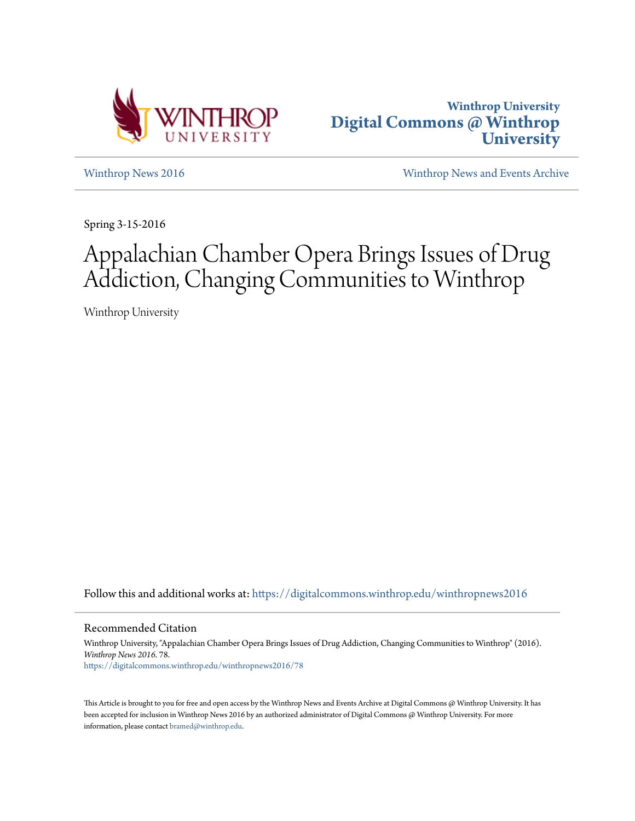



[Winthrop News 2016](https://digitalcommons.winthrop.edu/winthropnews2016?utm_source=digitalcommons.winthrop.edu%2Fwinthropnews2016%2F78&utm_medium=PDF&utm_campaign=PDFCoverPages) [Winthrop News and Events Archive](https://digitalcommons.winthrop.edu/winthropnewsarchives?utm_source=digitalcommons.winthrop.edu%2Fwinthropnews2016%2F78&utm_medium=PDF&utm_campaign=PDFCoverPages)

Spring 3-15-2016

## Appalachian Chamber Opera Brings Issues of Drug Addiction, Changing Communities to Winthrop

Winthrop University

Follow this and additional works at: [https://digitalcommons.winthrop.edu/winthropnews2016](https://digitalcommons.winthrop.edu/winthropnews2016?utm_source=digitalcommons.winthrop.edu%2Fwinthropnews2016%2F78&utm_medium=PDF&utm_campaign=PDFCoverPages)

Recommended Citation

Winthrop University, "Appalachian Chamber Opera Brings Issues of Drug Addiction, Changing Communities to Winthrop" (2016). *Winthrop News 2016*. 78. [https://digitalcommons.winthrop.edu/winthropnews2016/78](https://digitalcommons.winthrop.edu/winthropnews2016/78?utm_source=digitalcommons.winthrop.edu%2Fwinthropnews2016%2F78&utm_medium=PDF&utm_campaign=PDFCoverPages)

This Article is brought to you for free and open access by the Winthrop News and Events Archive at Digital Commons @ Winthrop University. It has been accepted for inclusion in Winthrop News 2016 by an authorized administrator of Digital Commons @ Winthrop University. For more information, please contact [bramed@winthrop.edu](mailto:bramed@winthrop.edu).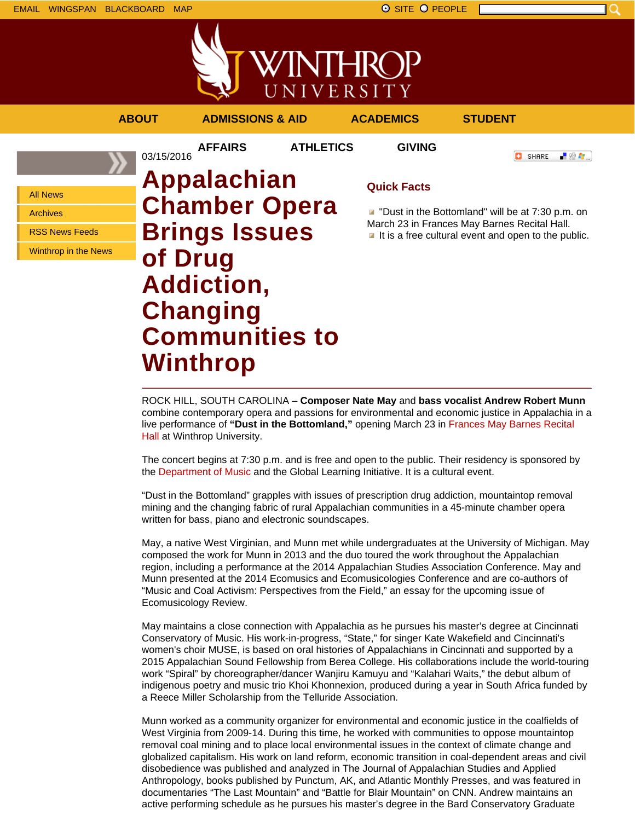

**AFFAIRS ATHLETICS GIVING**

**ABOUT ADMISSIONS & AID ACADEMICS STUDENT**

**O** SHARE

- 89 年 -

All News

Archives

RSS News Feeds

Winthrop in the News

03/15/2016 **Appalachian Chamber Opera Brings Issues of Drug Addiction, Changing Communities to Winthrop**

## **Quick Facts**

**D** "Dust in the Bottomland" will be at 7:30 p.m. on March 23 in Frances May Barnes Recital Hall.  $\blacksquare$  It is a free cultural event and open to the public.

ROCK HILL, SOUTH CAROLINA – **Composer Nate May** and **bass vocalist Andrew Robert Munn** combine contemporary opera and passions for environmental and economic justice in Appalachia in a live performance of **"Dust in the Bottomland,"** opening March 23 in Frances May Barnes Recital Hall at Winthrop University.

The concert begins at 7:30 p.m. and is free and open to the public. Their residency is sponsored by the Department of Music and the Global Learning Initiative. It is a cultural event.

"Dust in the Bottomland" grapples with issues of prescription drug addiction, mountaintop removal mining and the changing fabric of rural Appalachian communities in a 45-minute chamber opera written for bass, piano and electronic soundscapes.

May, a native West Virginian, and Munn met while undergraduates at the University of Michigan. May composed the work for Munn in 2013 and the duo toured the work throughout the Appalachian region, including a performance at the 2014 Appalachian Studies Association Conference. May and Munn presented at the 2014 Ecomusics and Ecomusicologies Conference and are co-authors of "Music and Coal Activism: Perspectives from the Field," an essay for the upcoming issue of Ecomusicology Review.

May maintains a close connection with Appalachia as he pursues his master's degree at Cincinnati Conservatory of Music. His work-in-progress, "State," for singer Kate Wakefield and Cincinnati's women's choir MUSE, is based on oral histories of Appalachians in Cincinnati and supported by a 2015 Appalachian Sound Fellowship from Berea College. His collaborations include the world-touring work "Spiral" by choreographer/dancer Wanjiru Kamuyu and "Kalahari Waits," the debut album of indigenous poetry and music trio Khoi Khonnexion, produced during a year in South Africa funded by a Reece Miller Scholarship from the Telluride Association.

Munn worked as a community organizer for environmental and economic justice in the coalfields of West Virginia from 2009-14. During this time, he worked with communities to oppose mountaintop removal coal mining and to place local environmental issues in the context of climate change and globalized capitalism. His work on land reform, economic transition in coal-dependent areas and civil disobedience was published and analyzed in The Journal of Appalachian Studies and Applied Anthropology, books published by Punctum, AK, and Atlantic Monthly Presses, and was featured in documentaries "The Last Mountain" and "Battle for Blair Mountain" on CNN. Andrew maintains an active performing schedule as he pursues his master's degree in the Bard Conservatory Graduate